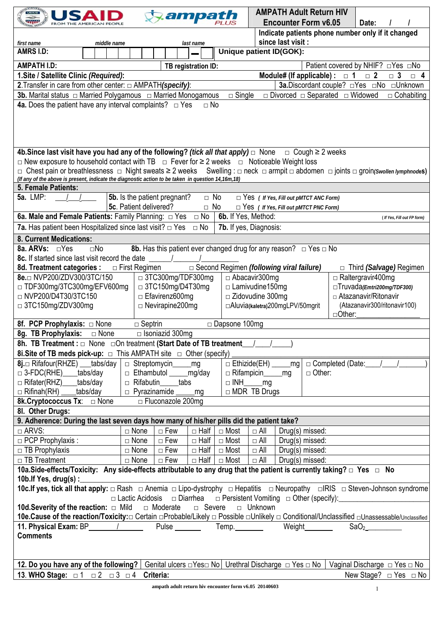|                                                                                                                                                                   |                        |                                    | ampath      |                                            |                                                                  |  | <b>AMPATH Adult Return HIV</b>                |               |                                                                                |  |
|-------------------------------------------------------------------------------------------------------------------------------------------------------------------|------------------------|------------------------------------|-------------|--------------------------------------------|------------------------------------------------------------------|--|-----------------------------------------------|---------------|--------------------------------------------------------------------------------|--|
|                                                                                                                                                                   |                        |                                    |             |                                            |                                                                  |  | <b>Encounter Form v6.05</b>                   |               | Date:                                                                          |  |
|                                                                                                                                                                   |                        |                                    |             |                                            |                                                                  |  |                                               |               | Indicate patients phone number only if it changed                              |  |
| since last visit :<br>first name<br>middle name<br>last name                                                                                                      |                        |                                    |             |                                            |                                                                  |  |                                               |               |                                                                                |  |
| <b>AMRS I.D:</b>                                                                                                                                                  |                        |                                    |             | Unique patient ID(GOK):                    |                                                                  |  |                                               |               |                                                                                |  |
| <b>AMPATH I.D:</b>                                                                                                                                                |                        |                                    |             |                                            |                                                                  |  |                                               |               | Patient covered by NHIF? □ Yes □ No                                            |  |
| TB registration ID:<br>1. Site / Satellite Clinic (Required):<br>Module# (If applicable) : $\Box$ 1<br>$\Box$ 2<br>$\Box$ 3<br>$\Box$ 4                           |                        |                                    |             |                                            |                                                                  |  |                                               |               |                                                                                |  |
| 2. Transfer in care from other center: □ AMPATH(specify):<br>3a.Discordant couple? □Yes □No □Unknown                                                              |                        |                                    |             |                                            |                                                                  |  |                                               |               |                                                                                |  |
|                                                                                                                                                                   |                        |                                    |             | $\Box$ Single                              |                                                                  |  |                                               |               | $\Box$ Cohabiting                                                              |  |
| $\Box$ Divorced $\Box$ Separated $\Box$ Widowed<br><b>4a.</b> Does the patient have any interval complaints? $\Box$ Yes<br>$\Box$ No                              |                        |                                    |             |                                            |                                                                  |  |                                               |               |                                                                                |  |
|                                                                                                                                                                   |                        |                                    |             |                                            |                                                                  |  |                                               |               |                                                                                |  |
|                                                                                                                                                                   |                        |                                    |             |                                            |                                                                  |  |                                               |               |                                                                                |  |
|                                                                                                                                                                   |                        |                                    |             |                                            |                                                                  |  |                                               |               |                                                                                |  |
|                                                                                                                                                                   |                        |                                    |             |                                            |                                                                  |  |                                               |               |                                                                                |  |
| 4b. Since last visit have you had any of the following? <i>(tick all that apply)</i> $\Box$ None $\Box$ Cough $\geq$ 2 weeks                                      |                        |                                    |             |                                            |                                                                  |  |                                               |               |                                                                                |  |
| $\Box$ New exposure to household contact with TB $\Box$ Fever for ≥ 2 weeks $\Box$ Noticeable Weight loss                                                         |                        |                                    |             |                                            |                                                                  |  |                                               |               |                                                                                |  |
| □ Chest pain or breathlessness □ Night sweats ≥ 2 weeks Swelling : □ neck □ armpit □ abdomen □ joints □ groin <i>(Swollen lymphnod</i> es)                        |                        |                                    |             |                                            |                                                                  |  |                                               |               |                                                                                |  |
| (If any of the above is present, indicate the diagnostic action to be taken in question 14,16m, 18)                                                               |                        |                                    |             |                                            |                                                                  |  |                                               |               |                                                                                |  |
| 5. Female Patients:                                                                                                                                               |                        |                                    |             |                                            |                                                                  |  |                                               |               |                                                                                |  |
| <b>5a. LMP:</b><br>5b. Is the patient pregnant?<br>$\Box$ No<br>$\Box$ Yes ( If Yes, Fill out pMTCT ANC Form)                                                     |                        |                                    |             |                                            |                                                                  |  |                                               |               |                                                                                |  |
|                                                                                                                                                                   | 5c. Patient delivered? |                                    | $\Box$ No   |                                            |                                                                  |  | $\Box$ Yes ( If Yes, Fill out pMTCT PNC Form) |               |                                                                                |  |
| 6a. Male and Female Patients: Family Planning: $\Box$ Yes $\Box$ No                                                                                               |                        |                                    |             | 6b. If Yes, Method:                        |                                                                  |  |                                               |               | ( If Yes, Fill out FP form)                                                    |  |
| <b>7a.</b> Has patient been Hospitalized since last visit? $\Box$ Yes                                                                                             |                        |                                    | $\Box$ No   | 7b. If yes, Diagnosis:                     |                                                                  |  |                                               |               |                                                                                |  |
| 8. Current Medications:                                                                                                                                           |                        |                                    |             |                                            |                                                                  |  |                                               |               |                                                                                |  |
| 8a. ARVs: □Yes<br>$\square$ No                                                                                                                                    |                        |                                    |             |                                            |                                                                  |  |                                               |               |                                                                                |  |
| <b>8b.</b> Has this patient ever changed drug for any reason? $\Box$ Yes $\Box$ No<br>8c. If started since last visit record the date                             |                        |                                    |             |                                            |                                                                  |  |                                               |               |                                                                                |  |
| 8d. Treatment categories :                                                                                                                                        | □ First Regimen        |                                    |             | □ Second Regimen (following viral failure) |                                                                  |  |                                               |               | □ Third <i>(Salvage)</i> Regimen                                               |  |
| 8e.□ NVP200/ZDV300/3TC/150                                                                                                                                        |                        | $\Box$ 3TC300mg/TDF300mg           |             |                                            | $\Box$ Abacavir 300mg                                            |  |                                               |               | $\Box$ Raltergravir400mg                                                       |  |
| $\Box$ 3TC150mg/D4T30mg<br>□ TDF300mg/3TC300mg/EFV600mg                                                                                                           |                        |                                    |             |                                            | $\Box$ Lamivudine150mg<br>□Truvada(Emtri200mg/TDF300)            |  |                                               |               |                                                                                |  |
| □ NVP200/D4T30/3TC150                                                                                                                                             |                        | $\Box$ Efavirenz600mg              |             |                                            | $\Box$ Zidovudine 300mg<br>□ Atazanavir/Ritonavir                |  |                                               |               |                                                                                |  |
| $\Box$ 3TC150mg/ZDV300mg                                                                                                                                          |                        | $\Box$ Nevirapine 200mg            |             |                                            | □Aluvia(kaletra)200mgLPV/50mgrit<br>(Atazanavir300/ritonavir100) |  |                                               |               |                                                                                |  |
|                                                                                                                                                                   |                        |                                    |             |                                            |                                                                  |  |                                               | $\Box$ Other: |                                                                                |  |
| 8f. PCP Prophylaxis: $\Box$ None<br>$\Box$ Septrin<br>$\Box$ Dapsone 100mg                                                                                        |                        |                                    |             |                                            |                                                                  |  |                                               |               |                                                                                |  |
| 8g. TB Prophylaxis: $\Box$ None                                                                                                                                   |                        | $\Box$ Isoniazid 300mg             |             |                                            |                                                                  |  |                                               |               |                                                                                |  |
| 8h. TB Treatment : $\Box$ None $\Box$ On treatment (Start Date of TB treatment $\Box$                                                                             |                        |                                    |             |                                            |                                                                  |  |                                               |               |                                                                                |  |
| <b>8i. Site of TB meds pick-up:</b> $\Box$ This AMPATH site $\Box$ Other (specify)                                                                                |                        |                                    |             |                                            |                                                                  |  |                                               |               |                                                                                |  |
| 8j.□ Rifafour(RHZE) tabs/day                                                                                                                                      |                        | $\Box$ Streptomycin mg             |             |                                            |                                                                  |  |                                               |               | $\Box$ Ethizide(EH) $\qquad \qquad$ mg $\Box$ Completed (Date: $\qquad \qquad$ |  |
| □ 3-FDC(RHE)____tabs/day                                                                                                                                          |                        | □ Ethambutol ______mg/day          |             |                                            | □ Rifampicin______mg<br>□ Other:                                 |  |                                               |               |                                                                                |  |
| □ Rifater(RHZ)____tabs/day                                                                                                                                        |                        | □ Rifabutin____ tabs               |             |                                            | $\Box$ INH $\_\_$ mg                                             |  |                                               |               |                                                                                |  |
| $\Box$ Rifinah(RH) $\Box$<br>tabs/day_                                                                                                                            | $\Box$ Pyrazinamide    |                                    | mg          |                                            | □ MDR TB Drugs                                                   |  |                                               |               |                                                                                |  |
| <b>8k.Cryptococcus Tx:</b> □ None                                                                                                                                 |                        | □ Fluconazole 200mg                |             |                                            |                                                                  |  |                                               |               |                                                                                |  |
| 8I. Other Drugs:                                                                                                                                                  |                        |                                    |             |                                            |                                                                  |  |                                               |               |                                                                                |  |
| 9. Adherence: During the last seven days how many of his/her pills did the patient take?                                                                          |                        |                                    |             |                                            |                                                                  |  |                                               |               |                                                                                |  |
| □ ARVS:                                                                                                                                                           | $\Box$ None            | □ Few                              |             | $\Box$ Half $\Box$ Most                    | $\Box$ All                                                       |  | Drug(s) missed:                               |               |                                                                                |  |
| □ PCP Prophylaxis :                                                                                                                                               | $\Box$ None            | $\Box$ Few $\Box$ Half $\Box$ Most |             |                                            | $\Box$ All                                                       |  | Drug(s) missed:                               |               |                                                                                |  |
| □ TB Prophylaxis                                                                                                                                                  | $\Box$ None            | $\Box$ Few                         |             | $\Box$ Half $\Box$ Most                    | $\Box$ All                                                       |  | Drug(s) missed:                               |               |                                                                                |  |
| □ TB Treatment                                                                                                                                                    | $\Box$ None            | $\Box$ Few                         | $\Box$ Half | $\Box$ Most                                | $\Box$ All                                                       |  | Drug(s) missed:                               |               |                                                                                |  |
| 10a.Side-effects/Toxicity: Any side-effects attributable to any drug that the patient is currently taking? □ Yes □ No                                             |                        |                                    |             |                                            |                                                                  |  |                                               |               |                                                                                |  |
| 10b.If Yes, drug(s) : $\_$                                                                                                                                        |                        |                                    |             |                                            |                                                                  |  |                                               |               |                                                                                |  |
| 10c.If yes, tick all that apply: □ Rash □ Anemia □ Lipo-dystrophy □ Hepatitis □ Neuropathy □ RIS □ Steven-Johnson syndrome                                        |                        |                                    |             |                                            |                                                                  |  |                                               |               |                                                                                |  |
| $\Box$ Lactic Acidosis $\Box$ Diarrhea $\Box$ Persistent Vomiting $\Box$ Other (specify):                                                                         |                        |                                    |             |                                            |                                                                  |  |                                               |               |                                                                                |  |
| <b>10d. Severity of the reaction:</b> □ Mild □ Moderate<br>□ Severe<br>□ Unknown                                                                                  |                        |                                    |             |                                            |                                                                  |  |                                               |               |                                                                                |  |
| 10e.Cause of the reaction/Toxicity:□ Certain □Probable/Likely □ Possible □Unlikely □ Conditional/Unclassified □Unassessable/Unclassified                          |                        |                                    |             |                                            |                                                                  |  |                                               |               |                                                                                |  |
| 11. Physical Exam: BP (a) Pulse Temp.                                                                                                                             |                        |                                    |             |                                            |                                                                  |  | Weight                                        |               | SaO <sub>2</sub>                                                               |  |
| <b>Comments</b>                                                                                                                                                   |                        |                                    |             |                                            |                                                                  |  |                                               |               |                                                                                |  |
|                                                                                                                                                                   |                        |                                    |             |                                            |                                                                  |  |                                               |               |                                                                                |  |
|                                                                                                                                                                   |                        |                                    |             |                                            |                                                                  |  |                                               |               |                                                                                |  |
| 12. Do you have any of the following?   Genital ulcers $\Box$ Yes $\Box$ No   Urethral Discharge $\Box$ Yes $\Box$ No  <br>Vaginal Discharge $\Box$ Yes $\Box$ No |                        |                                    |             |                                            |                                                                  |  |                                               |               |                                                                                |  |
| 13. WHO Stage: $\Box$ 1 $\Box$ 2 $\Box$ 3 $\Box$ 4 Criteria:<br>New Stage? $\Box$ Yes $\Box$ No                                                                   |                        |                                    |             |                                            |                                                                  |  |                                               |               |                                                                                |  |